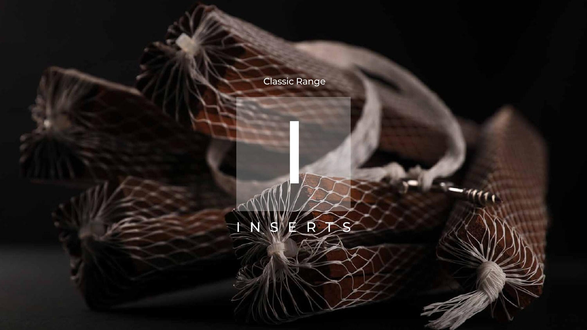I





## Classic Range